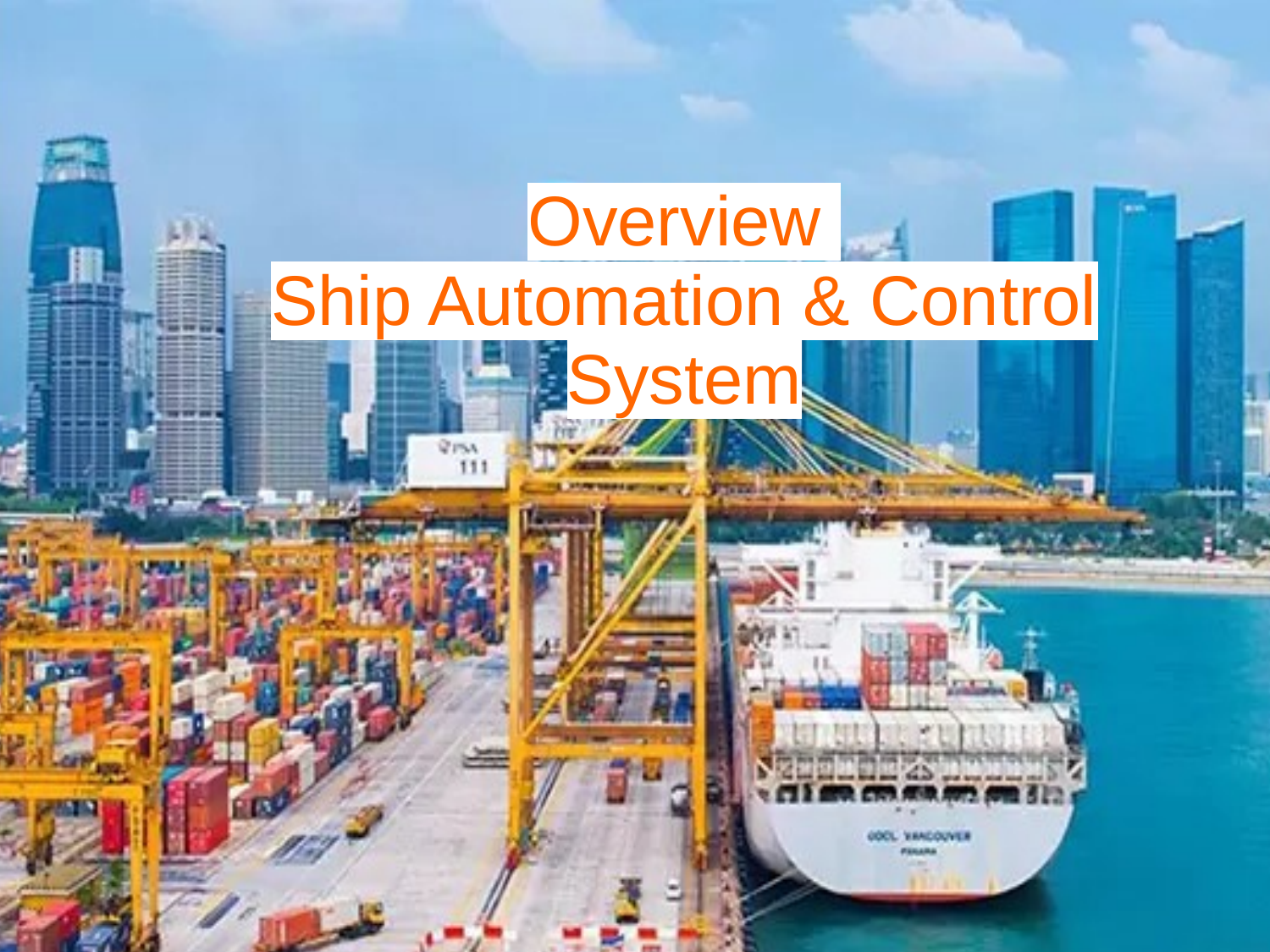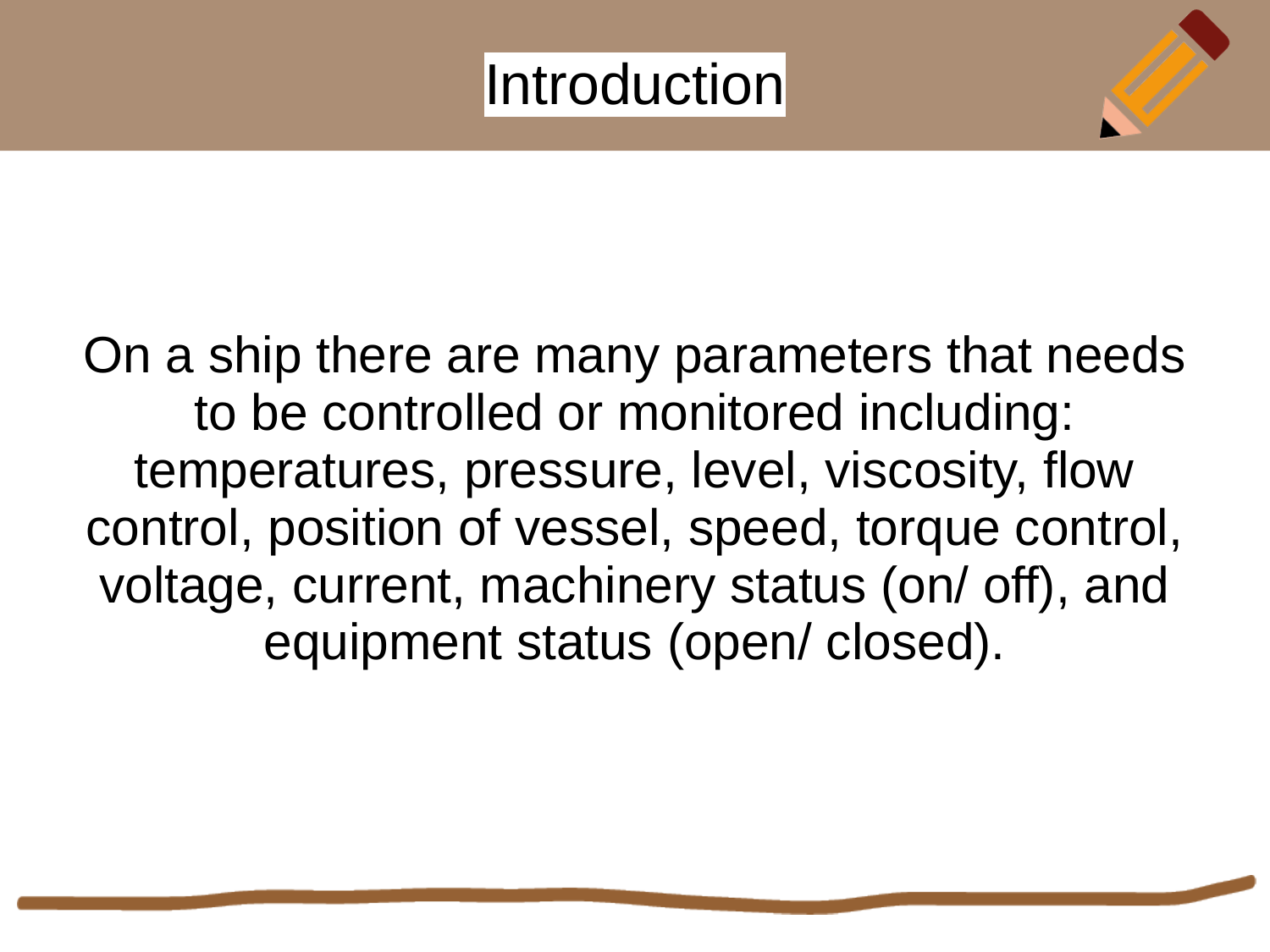#### **Introduction**

On a ship there are many parameters that needs to be controlled or monitored including: temperatures, pressure, level, viscosity, flow control, position of vessel, speed, torque control, voltage, current, machinery status (on/ off), and equipment status (open/ closed).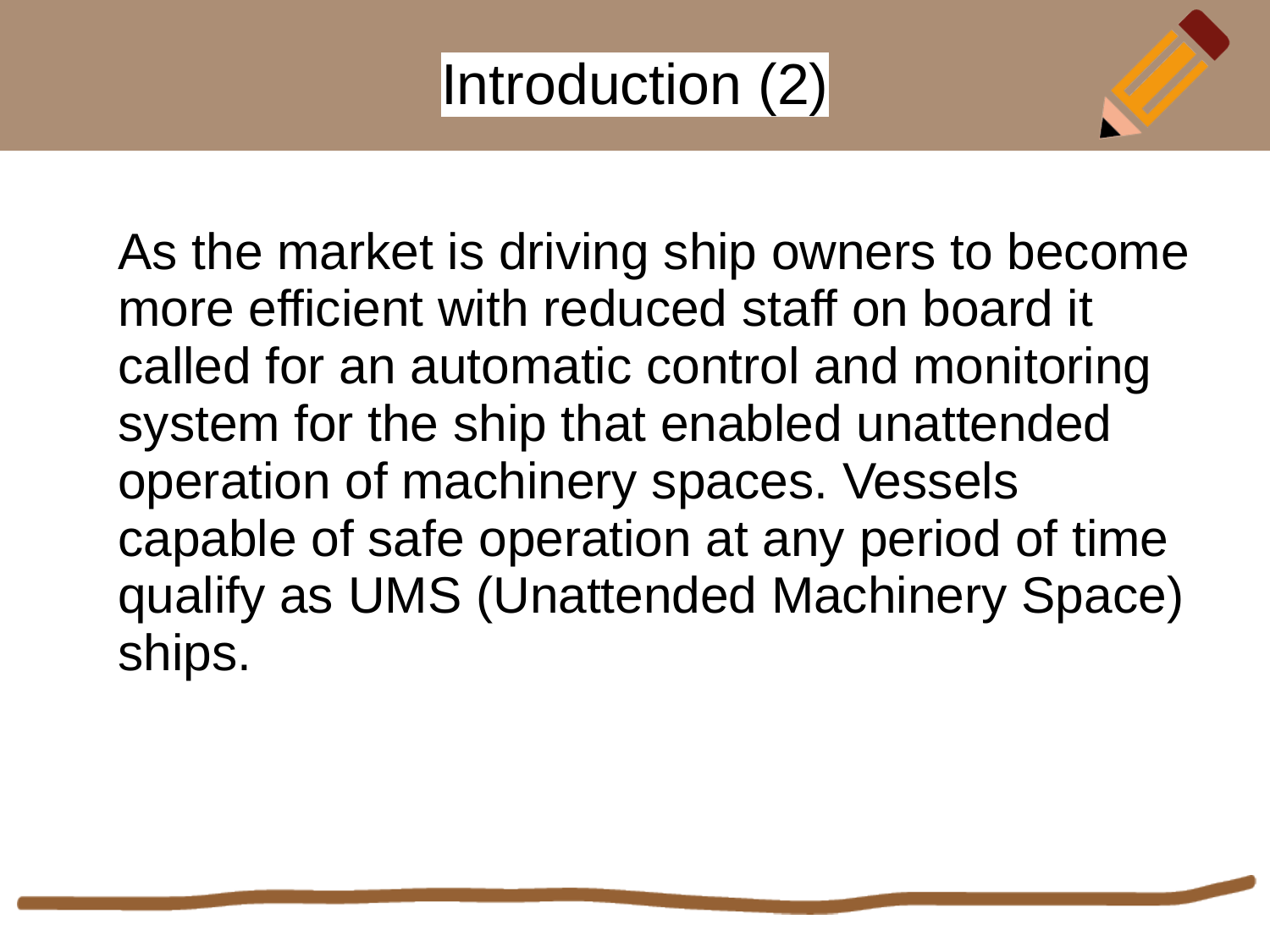## Introduction (2)

As the market is driving ship owners to become more efficient with reduced staff on board it called for an automatic control and monitoring system for the ship that enabled unattended operation of machinery spaces. Vessels capable of safe operation at any period of time qualify as UMS (Unattended Machinery Space) ships.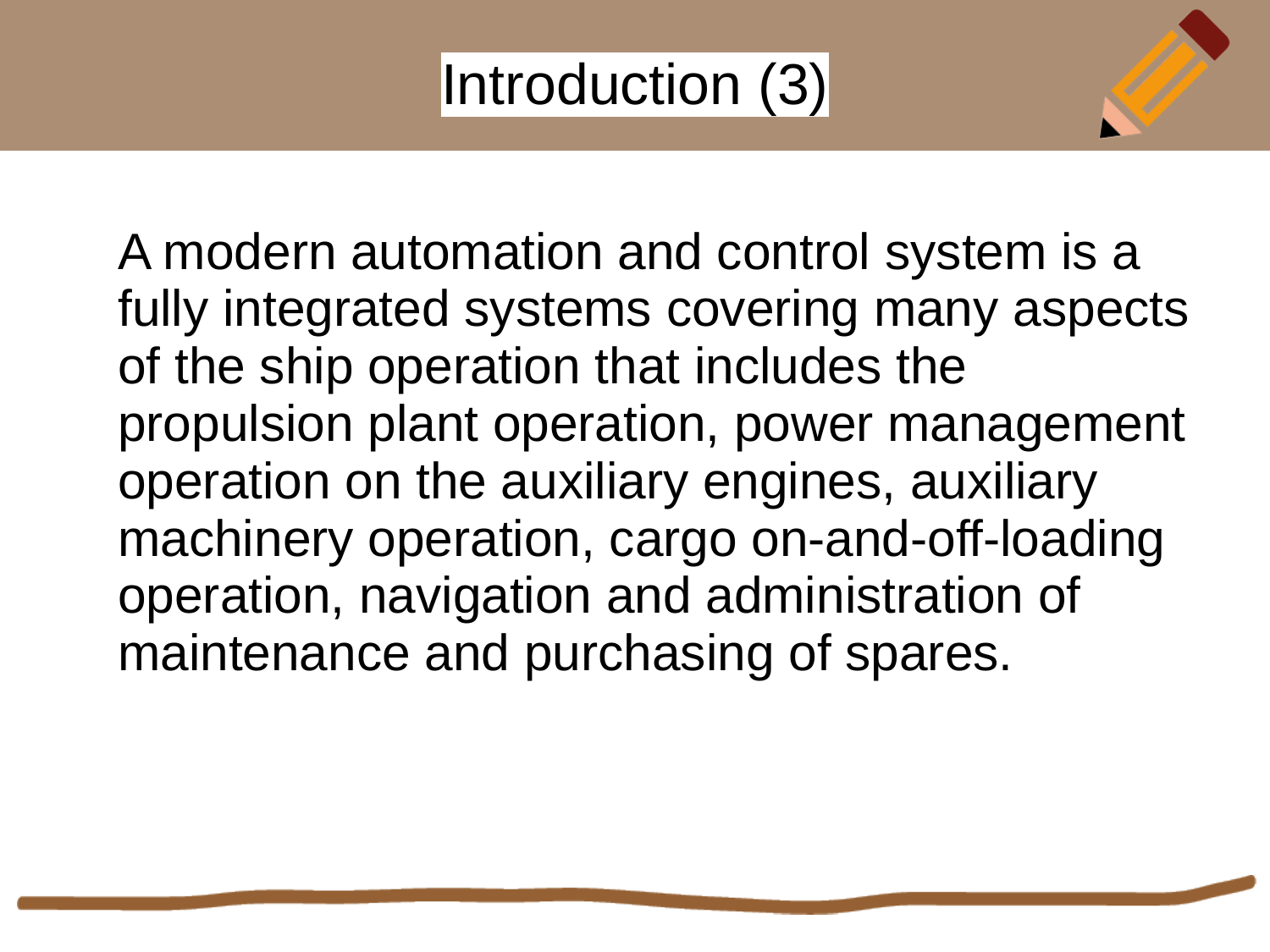### Introduction (3)

A modern automation and control system is a fully integrated systems covering many aspects of the ship operation that includes the propulsion plant operation, power management operation on the auxiliary engines, auxiliary machinery operation, cargo on-and-off-loading operation, navigation and administration of maintenance and purchasing of spares.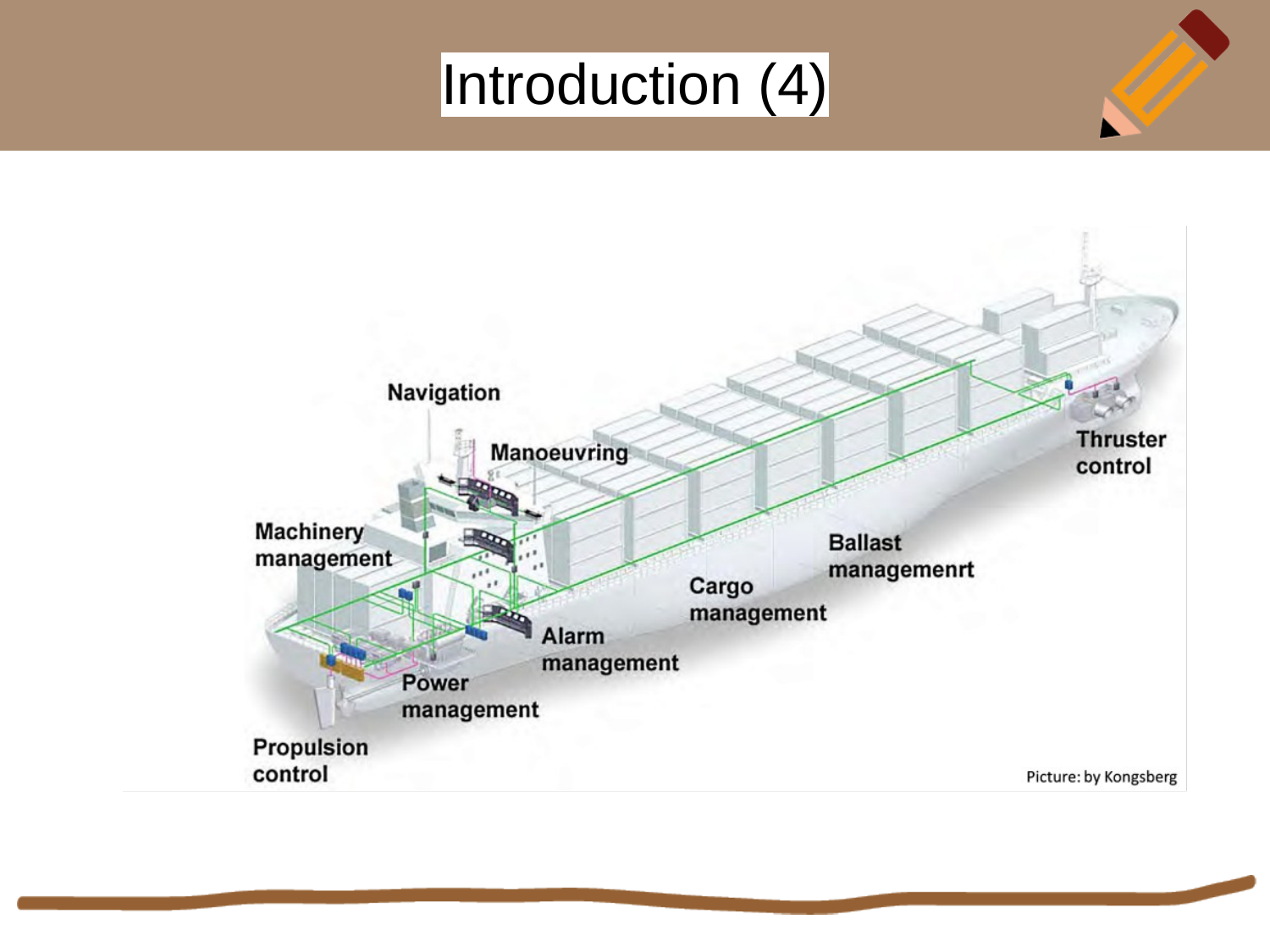# Introduction (4)

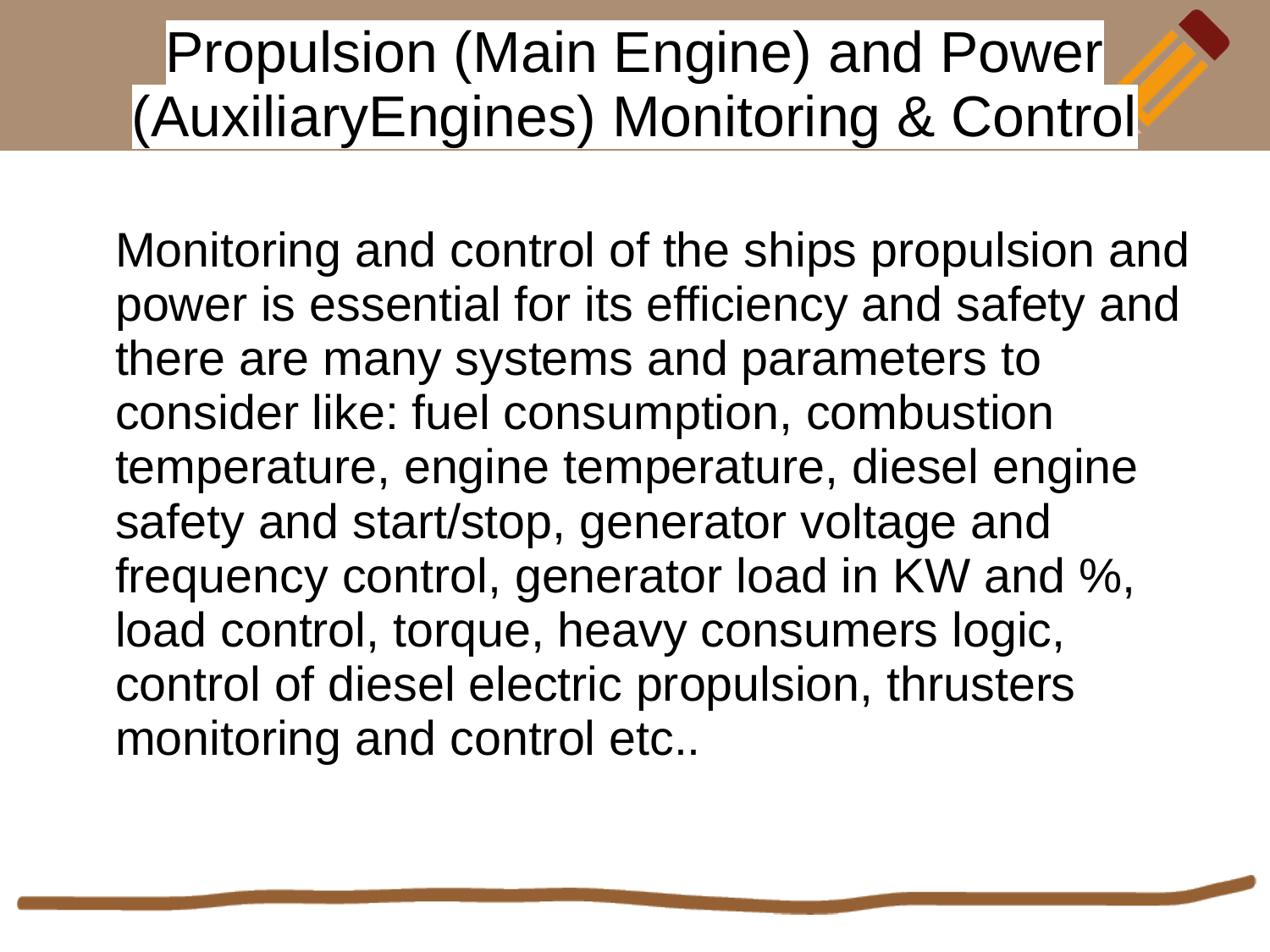### Propulsion (Main Engine) and Power (AuxiliaryEngines) Monitoring & Control

Monitoring and control of the ships propulsion and power is essential for its efficiency and safety and there are many systems and parameters to consider like: fuel consumption, combustion temperature, engine temperature, diesel engine safety and start/stop, generator voltage and frequency control, generator load in KW and %, load control, torque, heavy consumers logic, control of diesel electric propulsion, thrusters monitoring and control etc..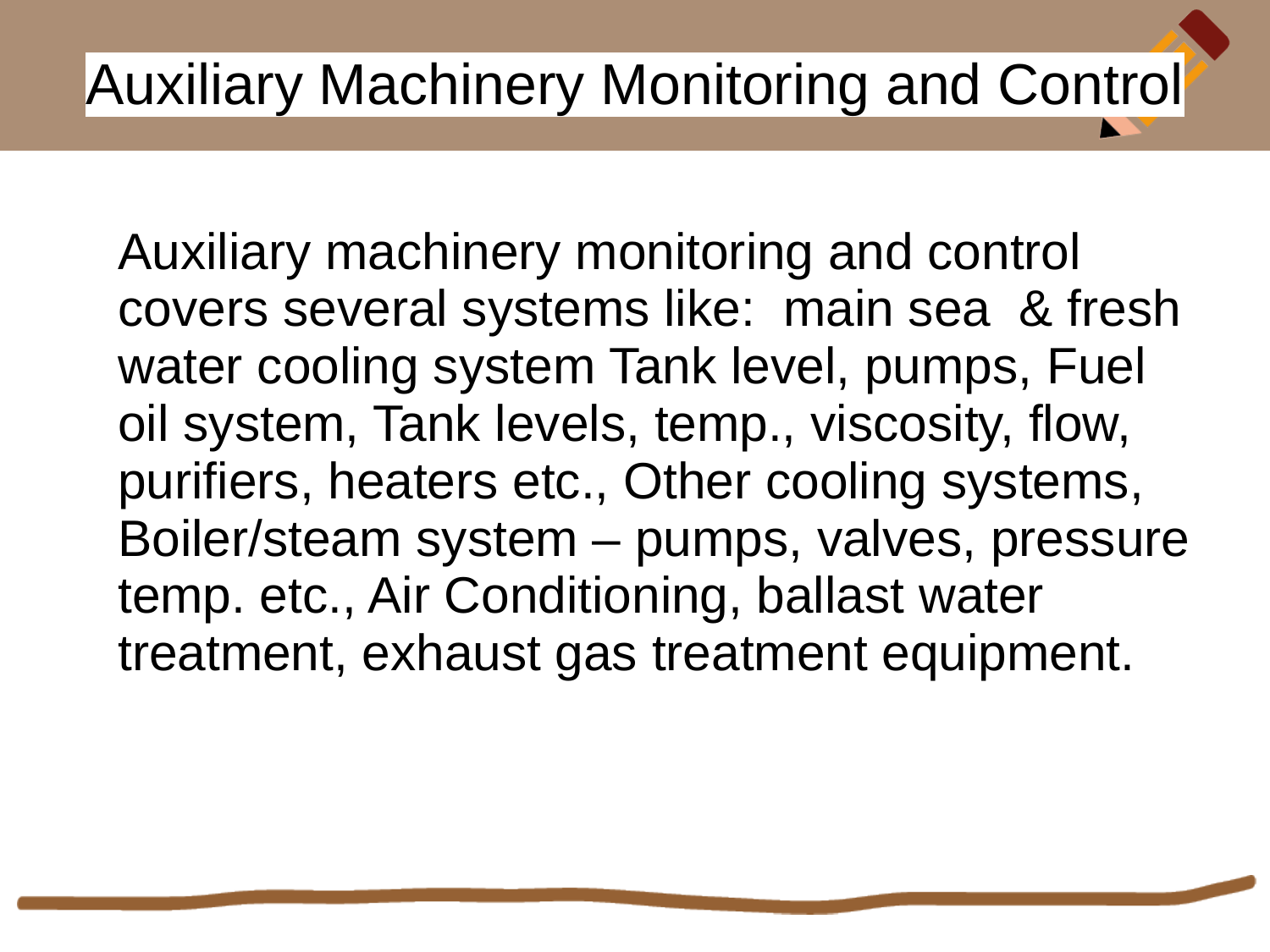# Auxiliary Machinery Monitoring and Control

Auxiliary machinery monitoring and control covers several systems like: main sea & fresh water cooling system Tank level, pumps, Fuel oil system, Tank levels, temp., viscosity, flow, purifiers, heaters etc., Other cooling systems, Boiler/steam system – pumps, valves, pressure temp. etc., Air Conditioning, ballast water treatment, exhaust gas treatment equipment.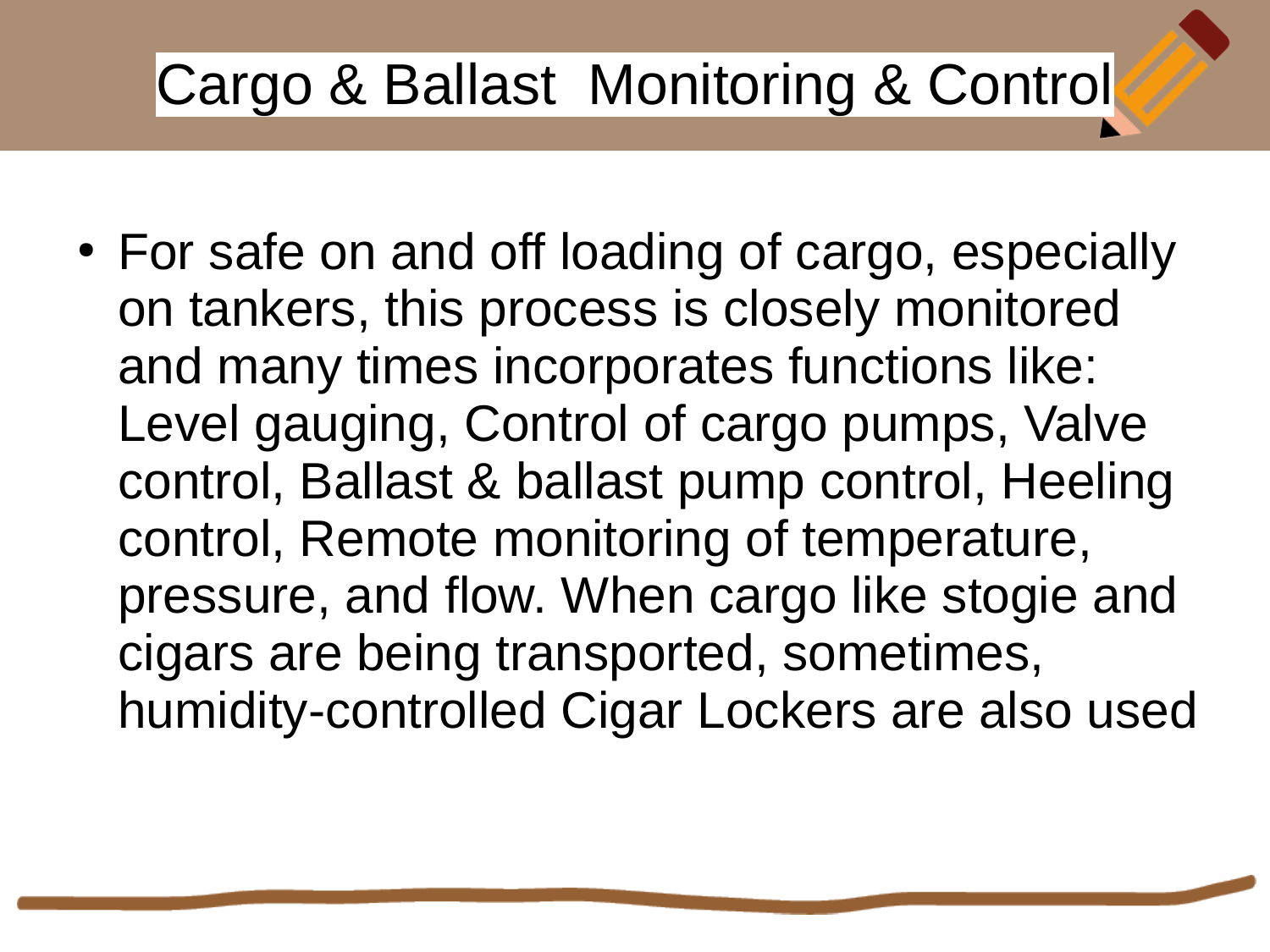# Cargo & Ballast Monitoring & Control

• For safe on and off loading of cargo, especially on tankers, this process is closely monitored and many times incorporates functions like: Level gauging, Control of cargo pumps, Valve control, Ballast & ballast pump control, Heeling control, Remote monitoring of temperature, pressure, and flow. When cargo like stogie and cigars are being transported, sometimes, humidity-controlled Cigar Lockers are also used